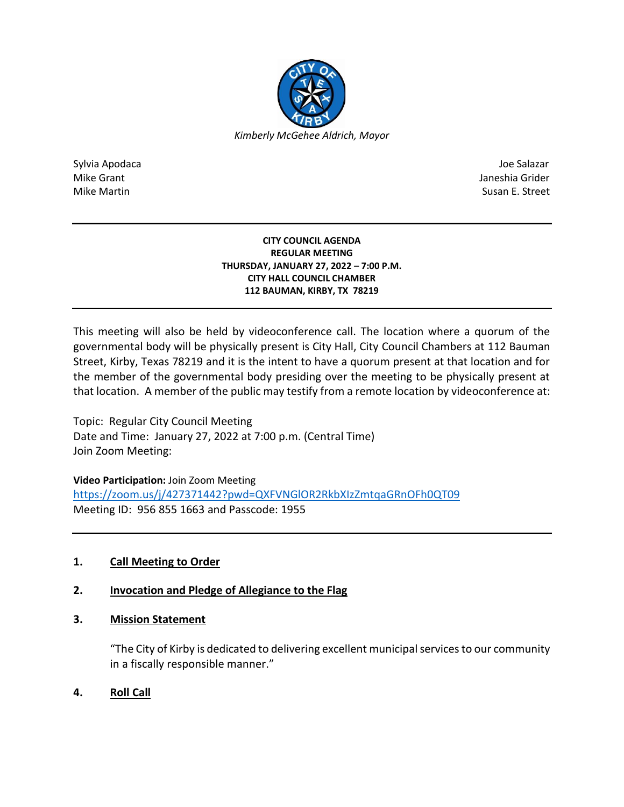

Sylvia Apodaca Joe Salazar Joe Salazar Joe Salazar Joe Salazar Joe Salazar Joe Salazar Joe Salazar Joe Salazar Mike Grant Janeshia Grider (1999) and the United States of the United States of the United States of the United States of the United States of the United States of the United States of the United States of the United State Mike Martin Susan E. Street

#### **CITY COUNCIL AGENDA REGULAR MEETING THURSDAY, JANUARY 27, 2022 – 7:00 P.M. CITY HALL COUNCIL CHAMBER 112 BAUMAN, KIRBY, TX 78219**

This meeting will also be held by videoconference call. The location where a quorum of the governmental body will be physically present is City Hall, City Council Chambers at 112 Bauman Street, Kirby, Texas 78219 and it is the intent to have a quorum present at that location and for the member of the governmental body presiding over the meeting to be physically present at that location. A member of the public may testify from a remote location by videoconference at:

Topic: Regular City Council Meeting Date and Time: January 27, 2022 at 7:00 p.m. (Central Time) Join Zoom Meeting:

**Video Participation:** Join Zoom Meeting

<https://zoom.us/j/427371442?pwd=QXFVNGlOR2RkbXIzZmtqaGRnOFh0QT09> Meeting ID: 956 855 1663 and Passcode: 1955

# **1. Call Meeting to Order**

# **2. Invocation and Pledge of Allegiance to the Flag**

# **3. Mission Statement**

"The City of Kirby is dedicated to delivering excellent municipal services to our community in a fiscally responsible manner."

**4. Roll Call**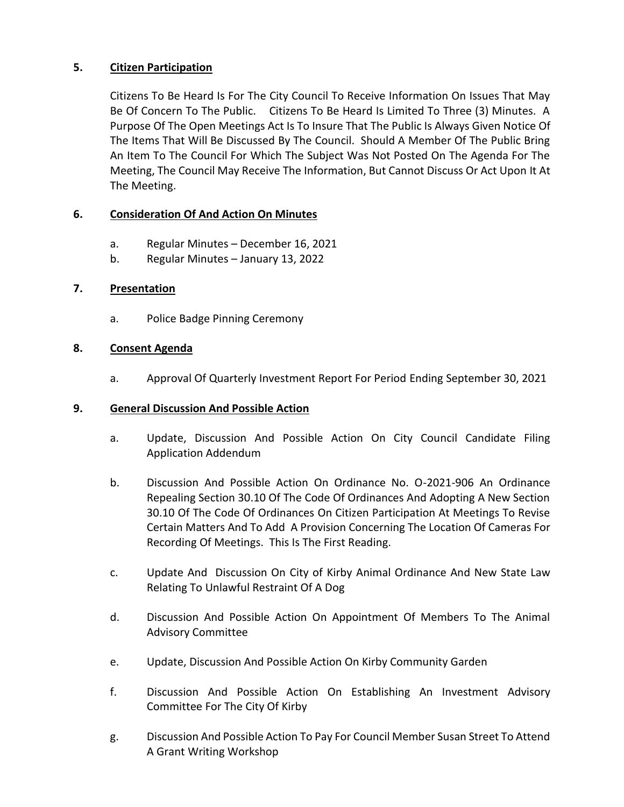## **5. Citizen Participation**

Citizens To Be Heard Is For The City Council To Receive Information On Issues That May Be Of Concern To The Public. Citizens To Be Heard Is Limited To Three (3) Minutes. A Purpose Of The Open Meetings Act Is To Insure That The Public Is Always Given Notice Of The Items That Will Be Discussed By The Council. Should A Member Of The Public Bring An Item To The Council For Which The Subject Was Not Posted On The Agenda For The Meeting, The Council May Receive The Information, But Cannot Discuss Or Act Upon It At The Meeting.

### **6. Consideration Of And Action On Minutes**

- a. Regular Minutes December 16, 2021
- b. Regular Minutes January 13, 2022

### **7. Presentation**

a. Police Badge Pinning Ceremony

#### **8. Consent Agenda**

a. Approval Of Quarterly Investment Report For Period Ending September 30, 2021

#### **9. General Discussion And Possible Action**

- a. Update, Discussion And Possible Action On City Council Candidate Filing Application Addendum
- b. Discussion And Possible Action On Ordinance No. O-2021-906 An Ordinance Repealing Section 30.10 Of The Code Of Ordinances And Adopting A New Section 30.10 Of The Code Of Ordinances On Citizen Participation At Meetings To Revise Certain Matters And To Add A Provision Concerning The Location Of Cameras For Recording Of Meetings. This Is The First Reading.
- c. Update And Discussion On City of Kirby Animal Ordinance And New State Law Relating To Unlawful Restraint Of A Dog
- d. Discussion And Possible Action On Appointment Of Members To The Animal Advisory Committee
- e. Update, Discussion And Possible Action On Kirby Community Garden
- f. Discussion And Possible Action On Establishing An Investment Advisory Committee For The City Of Kirby
- g. Discussion And Possible Action To Pay For Council Member Susan Street To Attend A Grant Writing Workshop